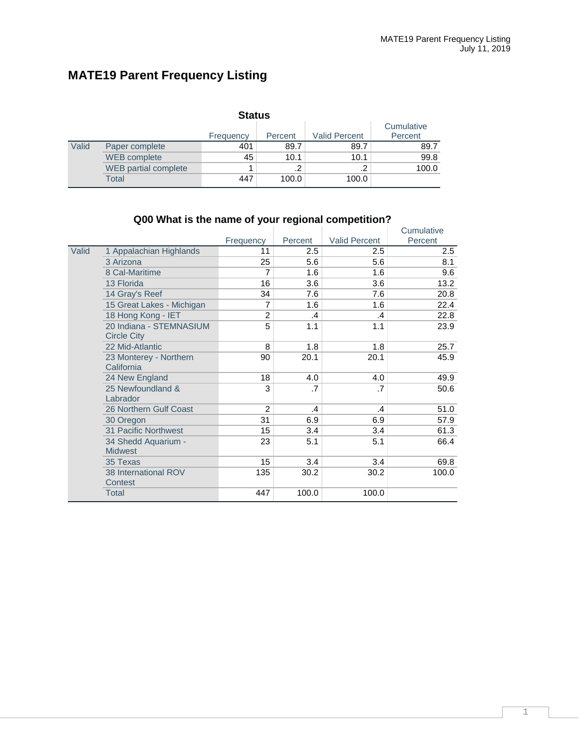# **MATE19 Parent Frequency Listing**

|       | <b>Status</b>               |           |         |                      |                       |  |  |  |  |
|-------|-----------------------------|-----------|---------|----------------------|-----------------------|--|--|--|--|
|       |                             | Frequency | Percent | <b>Valid Percent</b> | Cumulative<br>Percent |  |  |  |  |
| Valid | Paper complete              | 401       | 89.7    | 89.7                 | 89.7                  |  |  |  |  |
|       | <b>WEB</b> complete         | 45        | 10.1    | 10.1                 | 99.8                  |  |  |  |  |
|       | <b>WEB</b> partial complete |           | $\cdot$ | ົ                    | 100.0                 |  |  |  |  |
|       | Total                       | 447       | 100.0   | 100.0                |                       |  |  |  |  |

|       |                           |                |         |                      | Cumulative |
|-------|---------------------------|----------------|---------|----------------------|------------|
|       |                           | Frequency      | Percent | <b>Valid Percent</b> | Percent    |
| Valid | 1 Appalachian Highlands   | 11             | 2.5     | 2.5                  | 2.5        |
|       | 3 Arizona                 | 25             | 5.6     | 5.6                  | 8.1        |
|       | 8 Cal-Maritime            | 7              | 1.6     | 1.6                  | 9.6        |
|       | 13 Florida                | 16             | 3.6     | 3.6                  | 13.2       |
|       | 14 Gray's Reef            | 34             | 7.6     | 7.6                  | 20.8       |
|       | 15 Great Lakes - Michigan | 7              | 1.6     | 1.6                  | 22.4       |
|       | 18 Hong Kong - IET        | 2              | .4      | .4                   | 22.8       |
|       | 20 Indiana - STEMNASIUM   | 5              | 1.1     | 1.1                  | 23.9       |
|       | <b>Circle City</b>        |                |         |                      |            |
|       | 22 Mid-Atlantic           | 8              | 1.8     | 1.8                  | 25.7       |
|       | 23 Monterey - Northern    | 90             | 20.1    | 20.1                 | 45.9       |
|       | California                |                |         |                      |            |
|       | 24 New England            | 18             | 4.0     | 4.0                  | 49.9       |
|       | 25 Newfoundland &         | 3              | .7      | .7                   | 50.6       |
|       | Labrador                  |                |         |                      |            |
|       | 26 Northern Gulf Coast    | $\overline{2}$ | .4      | .4                   | 51.0       |
|       | 30 Oregon                 | 31             | 6.9     | 6.9                  | 57.9       |
|       | 31 Pacific Northwest      | 15             | 3.4     | 3.4                  | 61.3       |
|       | 34 Shedd Aquarium -       | 23             | 5.1     | 5.1                  | 66.4       |
|       | <b>Midwest</b>            |                |         |                      |            |
|       | 35 Texas                  | 15             | 3.4     | 3.4                  | 69.8       |
|       | 38 International ROV      | 135            | 30.2    | 30.2                 | 100.0      |
|       | Contest                   |                |         |                      |            |
|       | Total                     | 447            | 100.0   | 100.0                |            |

# **Q00 What is the name of your regional competition?**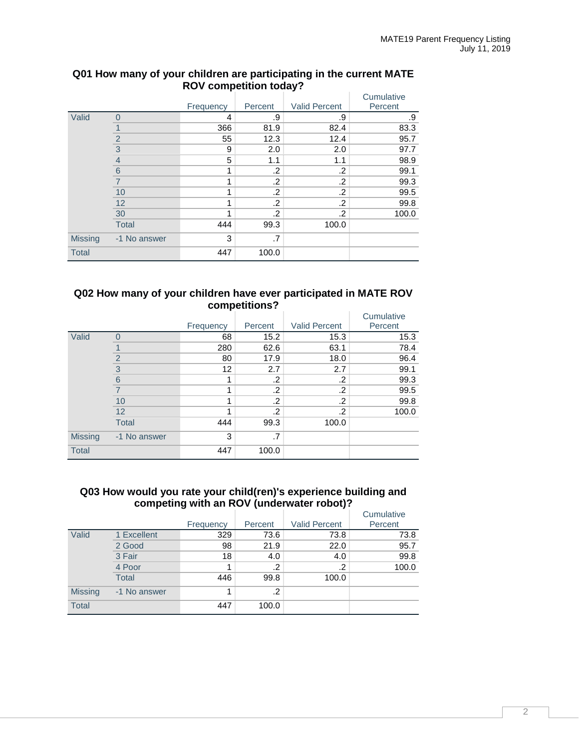|                |                | Frequency | Percent | <b>Valid Percent</b> | Cumulative<br>Percent |
|----------------|----------------|-----------|---------|----------------------|-----------------------|
| Valid          | $\Omega$       | 4         | .9      | .9                   | .9                    |
|                |                | 366       | 81.9    | 82.4                 | 83.3                  |
|                | $\overline{2}$ | 55        | 12.3    | 12.4                 | 95.7                  |
|                | 3              | 9         | 2.0     | 2.0                  | 97.7                  |
|                | $\overline{4}$ | 5         | 1.1     | 1.1                  | 98.9                  |
|                | 6              | 1         | .2      | .2                   | 99.1                  |
|                |                | 4         | .2      | .2                   | 99.3                  |
|                | 10             | 1         | .2      | .2                   | 99.5                  |
|                | 12             | 1         | .2      | .2                   | 99.8                  |
|                | 30             | 1         | .2      | .2                   | 100.0                 |
|                | <b>Total</b>   | 444       | 99.3    | 100.0                |                       |
| <b>Missing</b> | -1 No answer   | 3         | .7      |                      |                       |
| <b>Total</b>   |                | 447       | 100.0   |                      |                       |

#### **Q01 How many of your children are participating in the current MATE ROV competition today?**

#### **Q02 How many of your children have ever participated in MATE ROV competitions?**

|                |                | Frequency | Percent | <b>Valid Percent</b> | Cumulative<br>Percent |
|----------------|----------------|-----------|---------|----------------------|-----------------------|
| Valid          | $\Omega$       | 68        | 15.2    | 15.3                 | 15.3                  |
|                |                | 280       | 62.6    | 63.1                 | 78.4                  |
|                | $\overline{2}$ | 80        | 17.9    | 18.0                 | 96.4                  |
|                | 3              | 12        | 2.7     | 2.7                  | 99.1                  |
|                | 6              |           | .2      | .2                   | 99.3                  |
|                |                |           | .2      | .2                   | 99.5                  |
|                | 10             |           | .2      | .2                   | 99.8                  |
|                | 12             |           | .2      | .2                   | 100.0                 |
|                | <b>Total</b>   | 444       | 99.3    | 100.0                |                       |
| <b>Missing</b> | -1 No answer   | 3         | .7      |                      |                       |
| <b>Total</b>   |                | 447       | 100.0   |                      |                       |

#### **Q03 How would you rate your child(ren)'s experience building and competing with an ROV (underwater robot)?**

|                |              | Frequency | Percent | <b>Valid Percent</b> | Cumulative<br>Percent |
|----------------|--------------|-----------|---------|----------------------|-----------------------|
| Valid          | 1 Excellent  | 329       | 73.6    | 73.8                 | 73.8                  |
|                | 2 Good       | 98        | 21.9    | 22.0                 | 95.7                  |
|                | 3 Fair       | 18        | 4.0     | 4.0                  | 99.8                  |
|                | 4 Poor       |           | .2      | $\cdot$ .2           | 100.0                 |
|                | <b>Total</b> | 446       | 99.8    | 100.0                |                       |
| <b>Missing</b> | -1 No answer | 1         | .2      |                      |                       |
| <b>Total</b>   |              | 447       | 100.0   |                      |                       |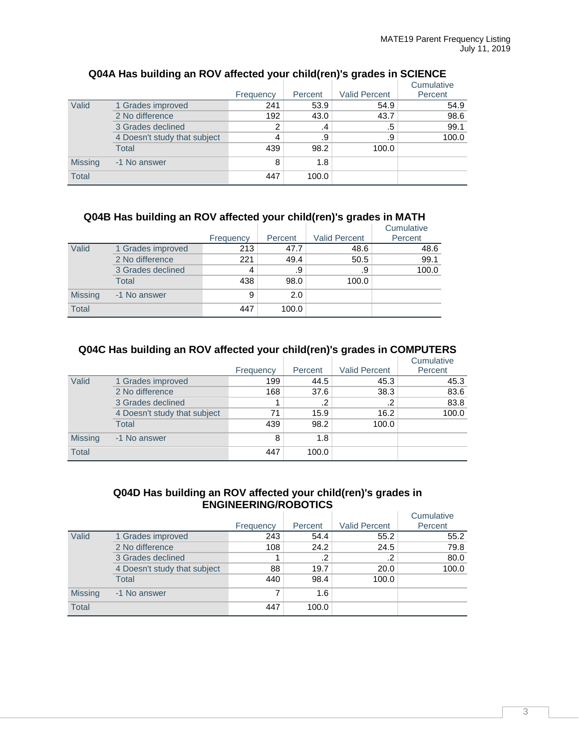|                |                              |           |         |                      | Cumulative |
|----------------|------------------------------|-----------|---------|----------------------|------------|
|                |                              | Frequency | Percent | <b>Valid Percent</b> | Percent    |
| Valid          | 1 Grades improved            | 241       | 53.9    | 54.9                 | 54.9       |
|                | 2 No difference              | 192       | 43.0    | 43.7                 | 98.6       |
|                | 3 Grades declined            | 2         | .4      | .5                   | 99.1       |
|                | 4 Doesn't study that subject | 4         | .9      | .9                   | 100.0      |
|                | <b>Total</b>                 | 439       | 98.2    | 100.0                |            |
| <b>Missing</b> | -1 No answer                 | 8         | 1.8     |                      |            |
| <b>Total</b>   |                              | 447       | 100.0   |                      |            |

# **Q04A Has building an ROV affected your child(ren)'s grades in SCIENCE**

# **Q04B Has building an ROV affected your child(ren)'s grades in MATH**

|                |                   |           |         |                      | Cumulative |
|----------------|-------------------|-----------|---------|----------------------|------------|
|                |                   | Frequency | Percent | <b>Valid Percent</b> | Percent    |
| Valid          | 1 Grades improved | 213       | 47.7    | 48.6                 | 48.6       |
|                | 2 No difference   | 221       | 49.4    | 50.5                 | 99.1       |
|                | 3 Grades declined | 4         | .9      | .9                   | 100.0      |
|                | Total             | 438       | 98.0    | 100.0                |            |
| <b>Missing</b> | -1 No answer      | 9         | 2.0     |                      |            |
| <b>Total</b>   |                   | 447       | 100.0   |                      |            |

### **Q04C Has building an ROV affected your child(ren)'s grades in COMPUTERS**

|                |                              |           |         |                      | Cumulative |
|----------------|------------------------------|-----------|---------|----------------------|------------|
|                |                              | Frequency | Percent | <b>Valid Percent</b> | Percent    |
| Valid          | 1 Grades improved            | 199       | 44.5    | 45.3                 | 45.3       |
|                | 2 No difference              | 168       | 37.6    | 38.3                 | 83.6       |
|                | 3 Grades declined            |           | .2      | .2                   | 83.8       |
|                | 4 Doesn't study that subject | 71        | 15.9    | 16.2                 | 100.0      |
|                | <b>Total</b>                 | 439       | 98.2    | 100.0                |            |
| <b>Missing</b> | -1 No answer                 | 8         | 1.8     |                      |            |
| Total          |                              | 447       | 100.0   |                      |            |

### **Q04D Has building an ROV affected your child(ren)'s grades in ENGINEERING/ROBOTICS**

|                |                              |           |            |                      | Cumulative |
|----------------|------------------------------|-----------|------------|----------------------|------------|
|                |                              | Frequency | Percent    | <b>Valid Percent</b> | Percent    |
| Valid          | 1 Grades improved            | 243       | 54.4       | 55.2                 | 55.2       |
|                | 2 No difference              | 108       | 24.2       | 24.5                 | 79.8       |
|                | 3 Grades declined            |           | $\cdot$ .2 | $\cdot$ .2           | 80.0       |
|                | 4 Doesn't study that subject | 88        | 19.7       | 20.0                 | 100.0      |
|                | Total                        | 440       | 98.4       | 100.0                |            |
| <b>Missing</b> | -1 No answer                 |           | 1.6        |                      |            |
| <b>Total</b>   |                              | 447       | 100.0      |                      |            |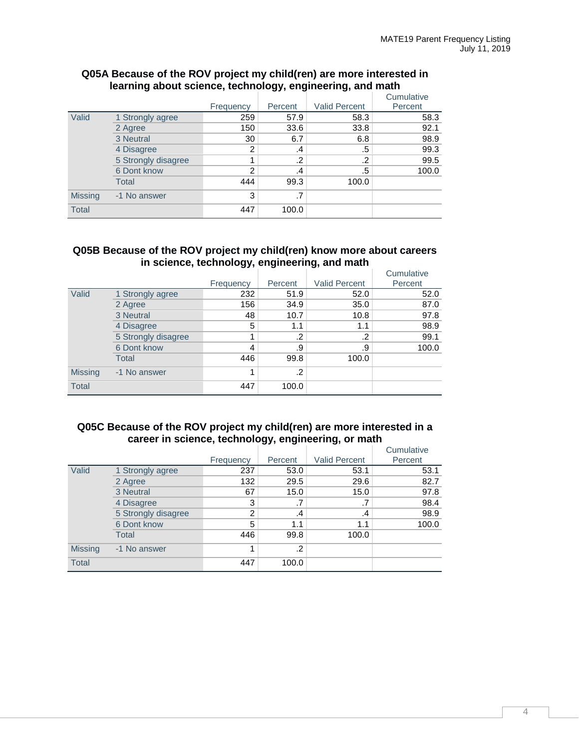|                |                     |               | Percent | <b>Valid Percent</b> | Cumulative<br>Percent |
|----------------|---------------------|---------------|---------|----------------------|-----------------------|
|                |                     | Frequency     |         |                      |                       |
| Valid          | 1 Strongly agree    | 259           | 57.9    | 58.3                 | 58.3                  |
|                | 2 Agree             | 150           | 33.6    | 33.8                 | 92.1                  |
|                | 3 Neutral           | 30            | 6.7     | 6.8                  | 98.9                  |
|                | 4 Disagree          | 2             | .4      | .5                   | 99.3                  |
|                | 5 Strongly disagree |               | .2      | .2                   | 99.5                  |
|                | 6 Dont know         | $\mathcal{P}$ | .4      | .5                   | 100.0                 |
|                | Total               | 444           | 99.3    | 100.0                |                       |
| <b>Missing</b> | -1 No answer        | 3             | .7      |                      |                       |
| <b>Total</b>   |                     | 447           | 100.0   |                      |                       |

#### **Q05A Because of the ROV project my child(ren) are more interested in learning about science, technology, engineering, and math**

#### **Q05B Because of the ROV project my child(ren) know more about careers in science, technology, engineering, and math**

|                |                     | Frequency | Percent | <b>Valid Percent</b> | Cumulative<br>Percent |
|----------------|---------------------|-----------|---------|----------------------|-----------------------|
| Valid          | 1 Strongly agree    | 232       | 51.9    | 52.0                 | 52.0                  |
|                | 2 Agree             | 156       | 34.9    | 35.0                 | 87.0                  |
|                | 3 Neutral           | 48        | 10.7    | 10.8                 | 97.8                  |
|                | 4 Disagree          | 5         | 1.1     | 1.1                  | 98.9                  |
|                | 5 Strongly disagree |           | .2      | .2                   | 99.1                  |
|                | 6 Dont know         | 4         | .9      | .9                   | 100.0                 |
|                | Total               | 446       | 99.8    | 100.0                |                       |
| <b>Missing</b> | -1 No answer        |           | .2      |                      |                       |
| <b>Total</b>   |                     | 447       | 100.0   |                      |                       |

#### **Q05C Because of the ROV project my child(ren) are more interested in a career in science, technology, engineering, or math**

|                |                     | Frequency | Percent | <b>Valid Percent</b> | Cumulative<br>Percent |
|----------------|---------------------|-----------|---------|----------------------|-----------------------|
| Valid          | 1 Strongly agree    | 237       | 53.0    | 53.1                 | 53.1                  |
|                | 2 Agree             | 132       | 29.5    | 29.6                 | 82.7                  |
|                | 3 Neutral           | 67        | 15.0    | 15.0                 | 97.8                  |
|                | 4 Disagree          | 3         | .7      | .7                   | 98.4                  |
|                | 5 Strongly disagree | 2         | .4      | .4                   | 98.9                  |
|                | 6 Dont know         | 5         | 1.1     | 1.1                  | 100.0                 |
|                | Total               | 446       | 99.8    | 100.0                |                       |
| <b>Missing</b> | -1 No answer        |           | .2      |                      |                       |
| <b>Total</b>   |                     | 447       | 100.0   |                      |                       |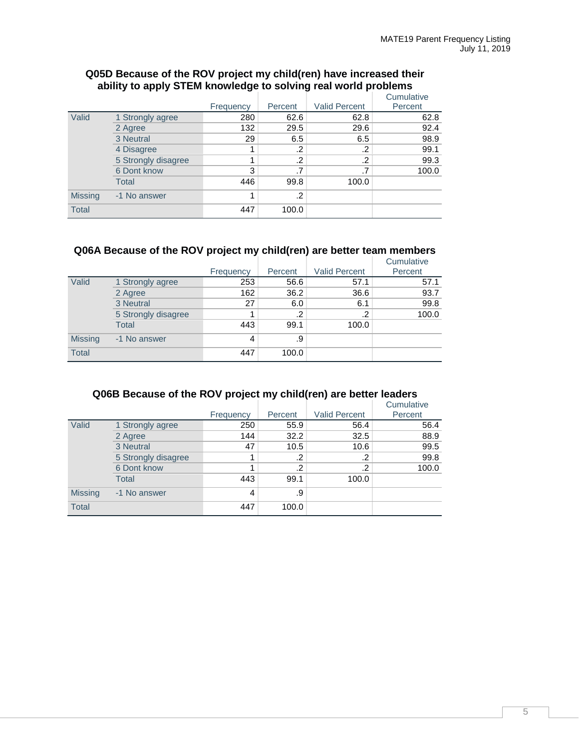|                |                     |           |         |                      | Cumulative |
|----------------|---------------------|-----------|---------|----------------------|------------|
|                |                     | Frequency | Percent | <b>Valid Percent</b> | Percent    |
| Valid          | 1 Strongly agree    | 280       | 62.6    | 62.8                 | 62.8       |
|                | 2 Agree             | 132       | 29.5    | 29.6                 | 92.4       |
|                | 3 Neutral           | 29        | 6.5     | 6.5                  | 98.9       |
|                | 4 Disagree          |           | .2      | .2                   | 99.1       |
|                | 5 Strongly disagree |           | .2      | .2                   | 99.3       |
|                | 6 Dont know         | 3         | .7      |                      | 100.0      |
|                | <b>Total</b>        | 446       | 99.8    | 100.0                |            |
| <b>Missing</b> | -1 No answer        |           | .2      |                      |            |
| <b>Total</b>   |                     | 447       | 100.0   |                      |            |

#### **Q05D Because of the ROV project my child(ren) have increased their ability to apply STEM knowledge to solving real world problems**

### **Q06A Because of the ROV project my child(ren) are better team members**

|                |                     |           |         |                      | Cumulative |
|----------------|---------------------|-----------|---------|----------------------|------------|
|                |                     | Frequency | Percent | <b>Valid Percent</b> | Percent    |
| Valid          | 1 Strongly agree    | 253       | 56.6    | 57.1                 | 57.1       |
|                | 2 Agree             | 162       | 36.2    | 36.6                 | 93.7       |
|                | 3 Neutral           | 27        | 6.0     | 6.1                  | 99.8       |
|                | 5 Strongly disagree |           | .2      | .2                   | 100.0      |
|                | <b>Total</b>        | 443       | 99.1    | 100.0                |            |
| <b>Missing</b> | -1 No answer        | 4         | .9      |                      |            |
| <b>Total</b>   |                     | 447       | 100.0   |                      |            |

# **Q06B Because of the ROV project my child(ren) are better leaders**

|                |                     |           |         |                      | Cumulative |
|----------------|---------------------|-----------|---------|----------------------|------------|
|                |                     | Frequency | Percent | <b>Valid Percent</b> | Percent    |
| Valid          | 1 Strongly agree    | 250       | 55.9    | 56.4                 | 56.4       |
|                | 2 Agree             | 144       | 32.2    | 32.5                 | 88.9       |
|                | 3 Neutral           | 47        | 10.5    | 10.6                 | 99.5       |
|                | 5 Strongly disagree |           | .2      | .2                   | 99.8       |
|                | 6 Dont know         |           | .2      | .2                   | 100.0      |
|                | Total               | 443       | 99.1    | 100.0                |            |
| <b>Missing</b> | -1 No answer        | 4         | .9      |                      |            |
| <b>Total</b>   |                     | 447       | 100.0   |                      |            |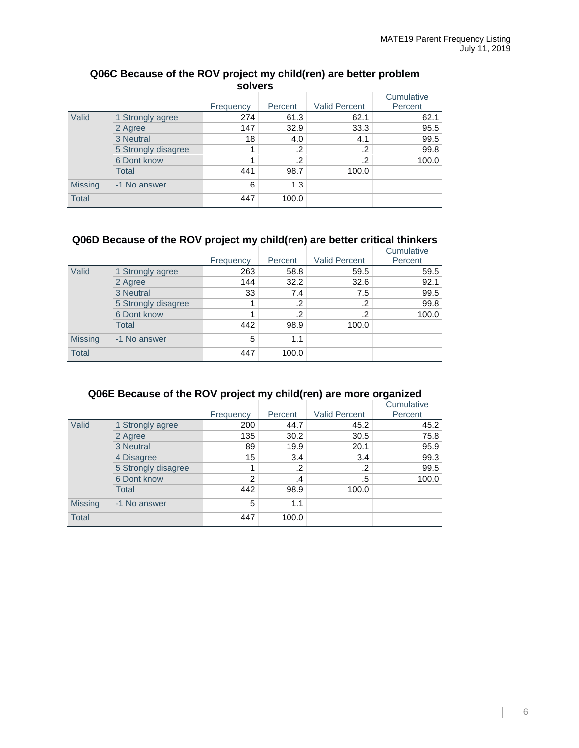| -----          |                     |           |         |                      |                       |  |
|----------------|---------------------|-----------|---------|----------------------|-----------------------|--|
|                |                     | Frequency | Percent | <b>Valid Percent</b> | Cumulative<br>Percent |  |
| Valid          | 1 Strongly agree    | 274       | 61.3    | 62.1                 | 62.1                  |  |
|                | 2 Agree             | 147       | 32.9    | 33.3                 | 95.5                  |  |
|                | 3 Neutral           | 18        | 4.0     | 4.1                  | 99.5                  |  |
|                | 5 Strongly disagree |           | .2      | .2                   | 99.8                  |  |
|                | 6 Dont know         | 4         | .2      | .2                   | 100.0                 |  |
|                | Total               | 441       | 98.7    | 100.0                |                       |  |
| <b>Missing</b> | -1 No answer        | 6         | 1.3     |                      |                       |  |
| <b>Total</b>   |                     | 447       | 100.0   |                      |                       |  |

### **Q06C Because of the ROV project my child(ren) are better problem solvers**

# **Q06D Because of the ROV project my child(ren) are better critical thinkers**

|                |                     |           |         |                      | Cumulative |
|----------------|---------------------|-----------|---------|----------------------|------------|
|                |                     | Frequency | Percent | <b>Valid Percent</b> | Percent    |
| Valid          | 1 Strongly agree    | 263       | 58.8    | 59.5                 | 59.5       |
|                | 2 Agree             | 144       | 32.2    | 32.6                 | 92.1       |
|                | 3 Neutral           | 33        | 7.4     | 7.5                  | 99.5       |
|                | 5 Strongly disagree |           | .2      | .2                   | 99.8       |
|                | 6 Dont know         |           | .2      | .2                   | 100.0      |
|                | Total               | 442       | 98.9    | 100.0                |            |
| <b>Missing</b> | -1 No answer        | 5         | 1.1     |                      |            |
| <b>Total</b>   |                     | 447       | 100.0   |                      |            |

# **Q06E Because of the ROV project my child(ren) are more organized**

|                |                     |           |               |                      | Cumulative |
|----------------|---------------------|-----------|---------------|----------------------|------------|
|                |                     | Frequency | Percent       | <b>Valid Percent</b> | Percent    |
| Valid          | 1 Strongly agree    | 200       | 44.7          | 45.2                 | 45.2       |
|                | 2 Agree             | 135       | 30.2          | 30.5                 | 75.8       |
|                | 3 Neutral           | 89        | 19.9          | 20.1                 | 95.9       |
|                | 4 Disagree          | 15        | 3.4           | 3.4                  | 99.3       |
|                | 5 Strongly disagree |           | .2            | .2                   | 99.5       |
|                | 6 Dont know         | 2         | $\mathcal{A}$ | .5                   | 100.0      |
|                | Total               | 442       | 98.9          | 100.0                |            |
| <b>Missing</b> | -1 No answer        | 5         | 1.1           |                      |            |
| <b>Total</b>   |                     | 447       | 100.0         |                      |            |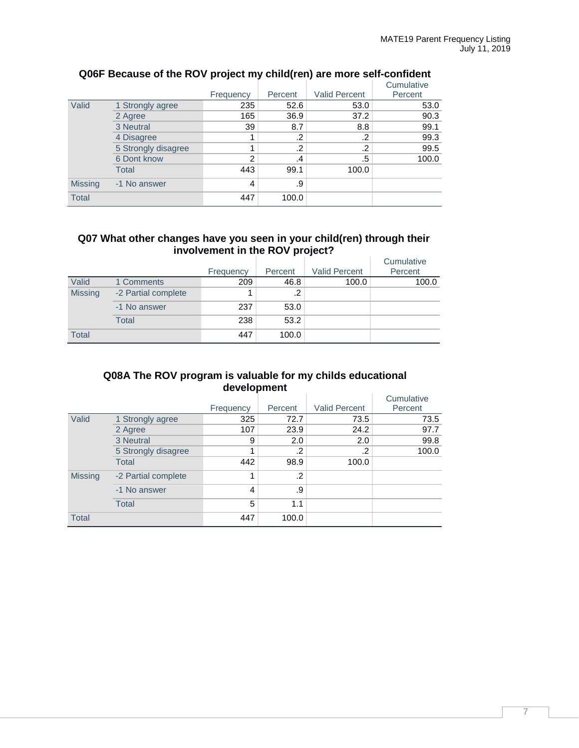|                |                     |                |         |                      | Cumulative |
|----------------|---------------------|----------------|---------|----------------------|------------|
|                |                     | Frequency      | Percent | <b>Valid Percent</b> | Percent    |
| Valid          | 1 Strongly agree    | 235            | 52.6    | 53.0                 | 53.0       |
|                | 2 Agree             | 165            | 36.9    | 37.2                 | 90.3       |
|                | 3 Neutral           | 39             | 8.7     | 8.8                  | 99.1       |
|                | 4 Disagree          |                | .2      | .2                   | 99.3       |
|                | 5 Strongly disagree |                | .2      | .2                   | 99.5       |
|                | 6 Dont know         | $\overline{2}$ | $\cdot$ | .5                   | 100.0      |
|                | Total               | 443            | 99.1    | 100.0                |            |
| <b>Missing</b> | -1 No answer        | 4              | .9      |                      |            |
| <b>Total</b>   |                     | 447            | 100.0   |                      |            |

# **Q06F Because of the ROV project my child(ren) are more self-confident**

### **Q07 What other changes have you seen in your child(ren) through their involvement in the ROV project?**

|                |                     |           |         |                      | Cumulative |
|----------------|---------------------|-----------|---------|----------------------|------------|
|                |                     | Frequency | Percent | <b>Valid Percent</b> | Percent    |
| Valid          | 1 Comments          | 209       | 46.8    | 100.0                | 100.0      |
| <b>Missing</b> | -2 Partial complete |           | $\cdot$ |                      |            |
|                | -1 No answer        | 237       | 53.0    |                      |            |
|                | Total               | 238       | 53.2    |                      |            |
| <b>Total</b>   |                     | 447       | 100.0   |                      |            |

### **Q08A The ROV program is valuable for my childs educational development**

|                |                     |           |         |                      | Cumulative |
|----------------|---------------------|-----------|---------|----------------------|------------|
|                |                     | Frequency | Percent | <b>Valid Percent</b> | Percent    |
| Valid          | 1 Strongly agree    | 325       | 72.7    | 73.5                 | 73.5       |
|                | 2 Agree             | 107       | 23.9    | 24.2                 | 97.7       |
|                | 3 Neutral           | 9         | 2.0     | 2.0                  | 99.8       |
|                | 5 Strongly disagree |           | .2      | .2                   | 100.0      |
|                | <b>Total</b>        | 442       | 98.9    | 100.0                |            |
| <b>Missing</b> | -2 Partial complete | 1         | .2      |                      |            |
|                | -1 No answer        | 4         | .9      |                      |            |
|                | <b>Total</b>        | 5         | 1.1     |                      |            |
| <b>Total</b>   |                     | 447       | 100.0   |                      |            |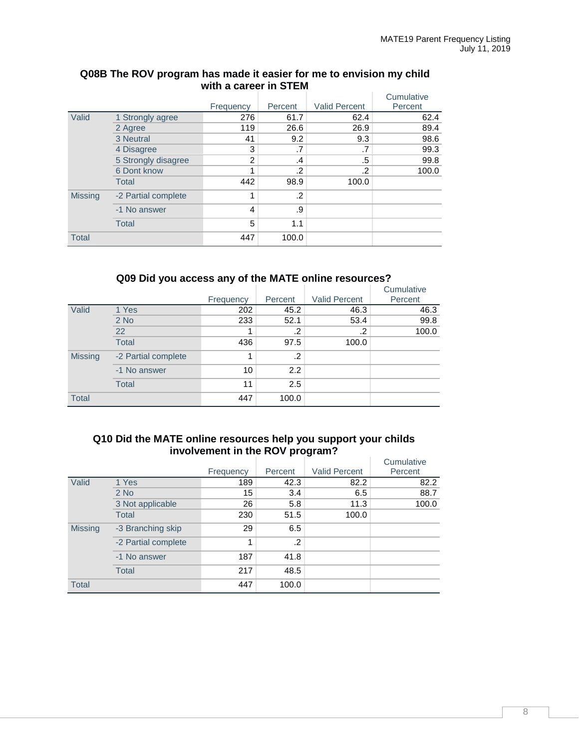|                |                     |                |         |                      | Cumulative |
|----------------|---------------------|----------------|---------|----------------------|------------|
|                |                     | Frequency      | Percent | <b>Valid Percent</b> | Percent    |
| Valid          | 1 Strongly agree    | 276            | 61.7    | 62.4                 | 62.4       |
|                | 2 Agree             | 119            | 26.6    | 26.9                 | 89.4       |
|                | 3 Neutral           | 41             | 9.2     | 9.3                  | 98.6       |
|                | 4 Disagree          | 3              | .7      | .7                   | 99.3       |
|                | 5 Strongly disagree | 2              | $\cdot$ | .5                   | 99.8       |
|                | 6 Dont know         |                | $\cdot$ | .2                   | 100.0      |
|                | <b>Total</b>        | 442            | 98.9    | 100.0                |            |
| <b>Missing</b> | -2 Partial complete |                | .2      |                      |            |
|                | -1 No answer        | $\overline{4}$ | .9      |                      |            |
|                | <b>Total</b>        | 5              | 1.1     |                      |            |
| <b>Total</b>   |                     | 447            | 100.0   |                      |            |

#### **Q08B The ROV program has made it easier for me to envision my child with a career in STEM**

# **Q09 Did you access any of the MATE online resources?**

|                |                     |           |            |                      | Cumulative |
|----------------|---------------------|-----------|------------|----------------------|------------|
|                |                     | Frequency | Percent    | <b>Valid Percent</b> | Percent    |
| Valid          | 1 Yes               | 202       | 45.2       | 46.3                 | 46.3       |
|                | $2$ No              | 233       | 52.1       | 53.4                 | 99.8       |
|                | 22                  |           | .2         | .2                   | 100.0      |
|                | <b>Total</b>        | 436       | 97.5       | 100.0                |            |
| <b>Missing</b> | -2 Partial complete |           | $\cdot$ .2 |                      |            |
|                | -1 No answer        | 10        | 2.2        |                      |            |
|                | <b>Total</b>        | 11        | 2.5        |                      |            |
| <b>Total</b>   |                     | 447       | 100.0      |                      |            |

### **Q10 Did the MATE online resources help you support your childs involvement in the ROV program?**

|                |                     |           |         |                      | Cumulative |
|----------------|---------------------|-----------|---------|----------------------|------------|
|                |                     | Frequency | Percent | <b>Valid Percent</b> | Percent    |
| Valid          | 1 Yes               | 189       | 42.3    | 82.2                 | 82.2       |
|                | $2$ No              | 15        | 3.4     | 6.5                  | 88.7       |
|                | 3 Not applicable    | 26        | 5.8     | 11.3                 | 100.0      |
|                | <b>Total</b>        | 230       | 51.5    | 100.0                |            |
| <b>Missing</b> | -3 Branching skip   | 29        | 6.5     |                      |            |
|                | -2 Partial complete | 1         | $\cdot$ |                      |            |
|                | -1 No answer        | 187       | 41.8    |                      |            |
|                | <b>Total</b>        | 217       | 48.5    |                      |            |
| <b>Total</b>   |                     | 447       | 100.0   |                      |            |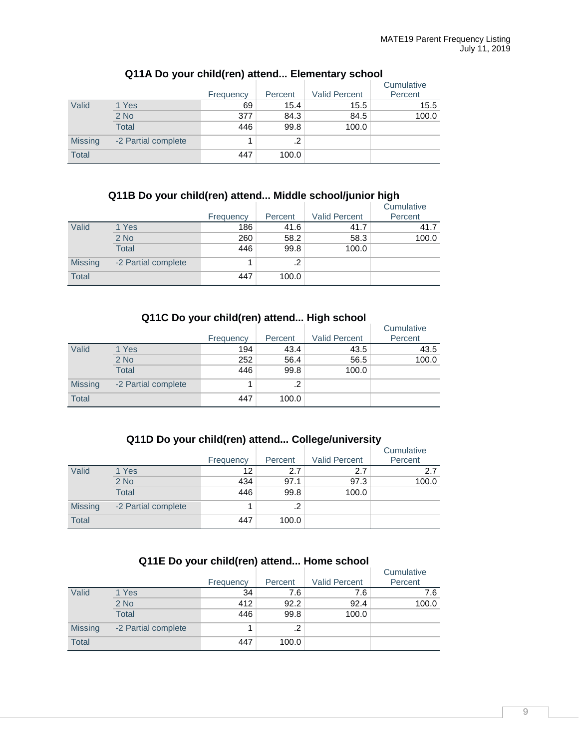|                |                     | Frequency | Percent | <b>Valid Percent</b> | Cumulative<br>Percent |
|----------------|---------------------|-----------|---------|----------------------|-----------------------|
| Valid          | 1 Yes               | 69        | 15.4    | 15.5                 | 15.5                  |
|                | $2$ No              | 377       | 84.3    | 84.5                 | 100.0                 |
|                | <b>Total</b>        | 446       | 99.8    | 100.0                |                       |
| <b>Missing</b> | -2 Partial complete |           | .2      |                      |                       |
| <b>Total</b>   |                     | 447       | 100.0   |                      |                       |

# **Q11A Do your child(ren) attend... Elementary school**

## **Q11B Do your child(ren) attend... Middle school/junior high**

|                |                     | Frequency | Percent | <b>Valid Percent</b> | Cumulative<br>Percent |
|----------------|---------------------|-----------|---------|----------------------|-----------------------|
| Valid          | 1 Yes               | 186       | 41.6    | 41.7                 | 41.7                  |
|                | $2$ No              | 260       | 58.2    | 58.3                 | 100.0                 |
|                | <b>Total</b>        | 446       | 99.8    | 100.0                |                       |
| <b>Missing</b> | -2 Partial complete |           | .2      |                      |                       |
| <b>Total</b>   |                     | 447       | 100.0   |                      |                       |

### **Q11C Do your child(ren) attend... High school**

|                |                     | Frequency | Percent | <b>Valid Percent</b> | Cumulative<br>Percent |
|----------------|---------------------|-----------|---------|----------------------|-----------------------|
| Valid          | 1 Yes               | 194       | 43.4    | 43.5                 | 43.5                  |
|                | $2$ No              | 252       | 56.4    | 56.5                 | 100.0                 |
|                | <b>Total</b>        | 446       | 99.8    | 100.0                |                       |
| <b>Missing</b> | -2 Partial complete |           | .2      |                      |                       |
| <b>Total</b>   |                     | 447       | 100.0   |                      |                       |

#### **Q11D Do your child(ren) attend... College/university**

|                |                     | Frequency | Percent | <b>Valid Percent</b> | Cumulative<br>Percent |
|----------------|---------------------|-----------|---------|----------------------|-----------------------|
| Valid          | 1 Yes               | 12        | 2.7     | 2.7                  | 2.7                   |
|                | $2$ No              | 434       | 97.1    | 97.3                 | 100.0                 |
|                | Total               | 446       | 99.8    | 100.0                |                       |
| <b>Missing</b> | -2 Partial complete |           | .2      |                      |                       |
| <b>Total</b>   |                     | 447       | 100.0   |                      |                       |

# **Q11E Do your child(ren) attend... Home school**

|                |                     | Frequency | Percent | <b>Valid Percent</b> | Cumulative<br>Percent |
|----------------|---------------------|-----------|---------|----------------------|-----------------------|
| Valid          | 1 Yes               | 34        | 7.6     | 7.6                  | 7.6                   |
|                | $2$ No              | 412       | 92.2    | 92.4                 | 100.0                 |
|                | <b>Total</b>        | 446       | 99.8    | 100.0                |                       |
| <b>Missing</b> | -2 Partial complete |           | .2      |                      |                       |
| <b>Total</b>   |                     | 447       | 100.0   |                      |                       |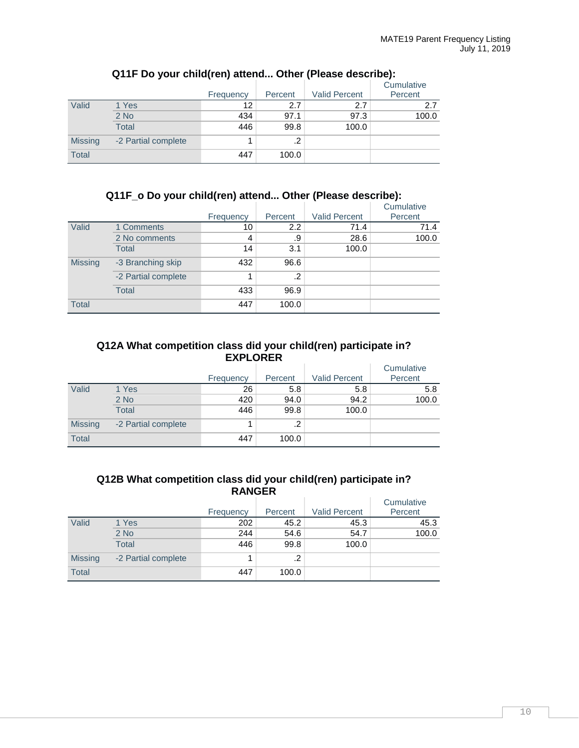|                |                     | Frequency | Percent | <b>Valid Percent</b> | Cumulative<br>Percent |
|----------------|---------------------|-----------|---------|----------------------|-----------------------|
| Valid          | 1 Yes               | 12        | 2.7     | 2.7                  | 2.7                   |
|                | $2$ No              | 434       | 97.1    | 97.3                 | 100.0                 |
|                | <b>Total</b>        | 446       | 99.8    | 100.0                |                       |
| <b>Missing</b> | -2 Partial complete |           | $\cdot$ |                      |                       |
| <b>Total</b>   |                     | 447       | 100.0   |                      |                       |

# **Q11F Do your child(ren) attend... Other (Please describe):**

#### **Q11F\_o Do your child(ren) attend... Other (Please describe):**

|                |                     |           |            |                      | Cumulative |
|----------------|---------------------|-----------|------------|----------------------|------------|
|                |                     | Frequency | Percent    | <b>Valid Percent</b> | Percent    |
| Valid          | 1 Comments          | 10        | 2.2        | 71.4                 | 71.4       |
|                | 2 No comments       | 4         | .9         | 28.6                 | 100.0      |
|                | Total               | 14        | 3.1        | 100.0                |            |
| <b>Missing</b> | -3 Branching skip   | 432       | 96.6       |                      |            |
|                | -2 Partial complete | и         | $\cdot$ .2 |                      |            |
|                | Total               | 433       | 96.9       |                      |            |
| <b>Total</b>   |                     | 447       | 100.0      |                      |            |

#### **Q12A What competition class did your child(ren) participate in? EXPLORER** Ŷ.

|                |                     |           |         |                      | Cumulative |
|----------------|---------------------|-----------|---------|----------------------|------------|
|                |                     | Frequency | Percent | <b>Valid Percent</b> | Percent    |
| Valid          | 1 Yes               | 26        | 5.8     | 5.8                  | 5.8        |
|                | $2$ No              | 420       | 94.0    | 94.2                 | 100.0      |
|                | <b>Total</b>        | 446       | 99.8    | 100.0                |            |
| <b>Missing</b> | -2 Partial complete |           | .2      |                      |            |
| <b>Total</b>   |                     | 447       | 100.0   |                      |            |

#### **Q12B What competition class did your child(ren) participate in? RANGER**

|                |                     | Frequency | Percent | <b>Valid Percent</b> | Cumulative<br>Percent |
|----------------|---------------------|-----------|---------|----------------------|-----------------------|
| Valid          | 1 Yes               | 202       | 45.2    | 45.3                 | 45.3                  |
|                | $2$ No              | 244       | 54.6    | 54.7                 | 100.0                 |
|                | <b>Total</b>        | 446       | 99.8    | 100.0                |                       |
| <b>Missing</b> | -2 Partial complete |           | $\cdot$ |                      |                       |
| <b>Total</b>   |                     | 447       | 100.0   |                      |                       |